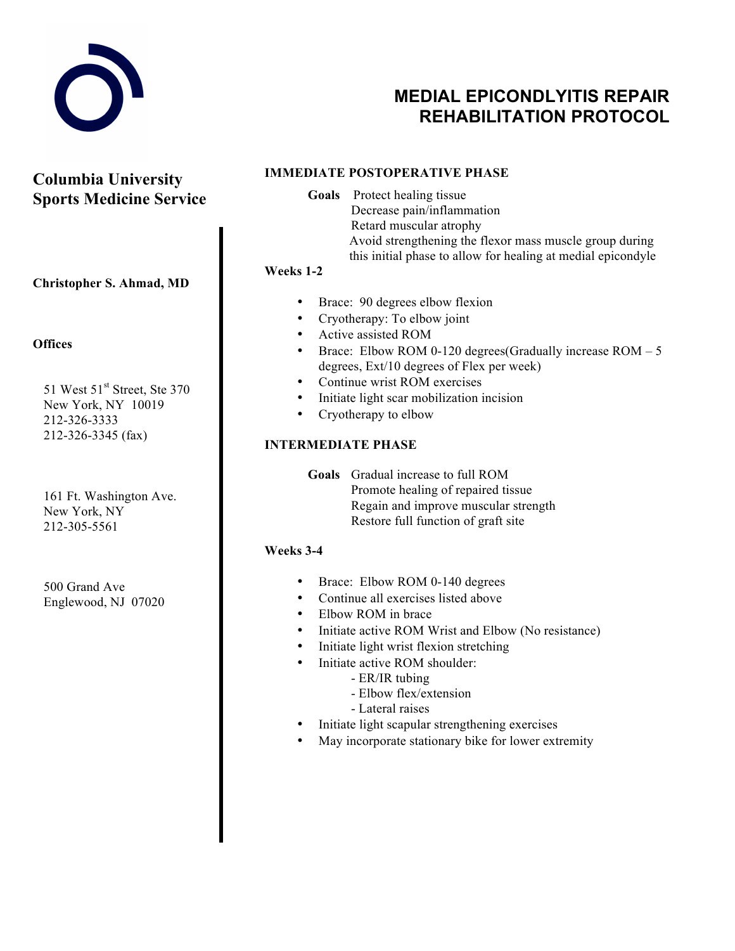

# **MEDIAL EPICONDLYITIS REPAIR REHABILITATION PROTOCOL**

**Columbia University Sports Medicine Service**

**Christopher S. Ahmad, MD**

### **Offices**

51 West  $51<sup>st</sup>$  Street, Ste 370 New York, NY 10019 212-326-3333 212-326-3345 (fax)

161 Ft. Washington Ave. New York, NY 212-305-5561

500 Grand Ave Englewood, NJ 07020

## **IMMEDIATE POSTOPERATIVE PHASE**

**Goals** Protect healing tissue Decrease pain/inflammation Retard muscular atrophy Avoid strengthening the flexor mass muscle group during this initial phase to allow for healing at medial epicondyle

## **Weeks 1-2**

- Brace: 90 degrees elbow flexion
- Cryotherapy: To elbow joint
- Active assisted ROM
- Brace: Elbow ROM 0-120 degrees(Gradually increase ROM 5 degrees, Ext/10 degrees of Flex per week)
- Continue wrist ROM exercises
- Initiate light scar mobilization incision
- Cryotherapy to elbow

## **INTERMEDIATE PHASE**

**Goals** Gradual increase to full ROM Promote healing of repaired tissue Regain and improve muscular strength Restore full function of graft site

### **Weeks 3-4**

- Brace: Elbow ROM 0-140 degrees
- Continue all exercises listed above
- Elbow ROM in brace
- Initiate active ROM Wrist and Elbow (No resistance)
- Initiate light wrist flexion stretching
- Initiate active ROM shoulder:
	- ER/IR tubing
	- Elbow flex/extension
	- Lateral raises
- Initiate light scapular strengthening exercises
- May incorporate stationary bike for lower extremity